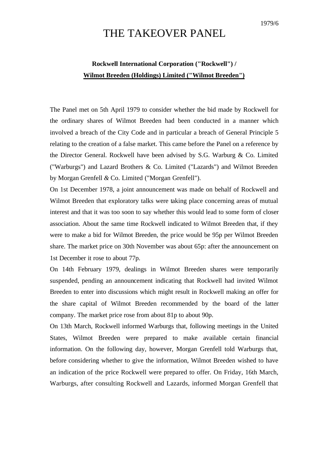## THE TAKEOVER PANEL

## **Rockwell International Corporation ("Rockwell") / Wilmot Breeden (Holdings) Limited ("Wilmot Breeden")**

The Panel met on 5th April 1979 to consider whether the bid made by Rockwell for the ordinary shares of Wilmot Breeden had been conducted in a manner which involved a breach of the City Code and in particular a breach of General Principle 5 relating to the creation of a false market. This came before the Panel on a reference by the Director General. Rockwell have been advised by S.G. Warburg & Co. Limited ("Warburgs") and Lazard Brothers & Co. Limited ("Lazards") and Wilmot Breeden by Morgan Grenfell *&* Co. Limited ("Morgan Grenfell").

On 1st December 1978, a joint announcement was made on behalf of Rockwell and Wilmot Breeden that exploratory talks were taking place concerning areas of mutual interest and that it was too soon to say whether this would lead to some form of closer association. About the same time Rockwell indicated to Wilmot Breeden that, if they were to make a bid for Wilmot Breeden, the price would be 95p per Wilmot Breeden share. The market price on 30th November was about 65p: after the announcement on 1st December it rose to about 77p.

On 14th February 1979, dealings in Wilmot Breeden shares were temporarily suspended, pending an announcement indicating that Rockwell had invited Wilmot Breeden to enter into discussions which might result in Rockwell making an offer for the share capital of Wilmot Breeden recommended by the board of the latter company. The market price rose from about 81p to about 90p.

On 13th March, Rockwell informed Warburgs that, following meetings in the United States, Wilmot Breeden were prepared to make available certain financial information. On the following day, however, Morgan Grenfell told Warburgs that, before considering whether to give the information, Wilmot Breeden wished to have an indication of the price Rockwell were prepared to offer. On Friday, 16th March, Warburgs, after consulting Rockwell and Lazards, informed Morgan Grenfell that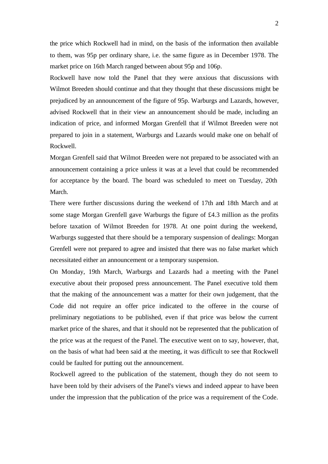the price which Rockwell had in mind, on the basis of the information then available to them, was 95p per ordinary share, i.e. the same figure as in December 1978. The market price on 16th March ranged between about 95p and 106p.

Rockwell have now told the Panel that they were anxious that discussions with Wilmot Breeden should continue and that they thought that these discussions might be prejudiced by an announcement of the figure of 95p. Warburgs and Lazards, however, advised Rockwell that in their view an announcement should be made, including an indication of price, and informed Morgan Grenfell that if Wilmot Breeden were not prepared to join in a statement, Warburgs and Lazards would make one on behalf of Rockwell.

Morgan Grenfell said that Wilmot Breeden were not prepared to be associated with an announcement containing a price unless it was at a level that could be recommended for acceptance by the board. The board was scheduled to meet on Tuesday, 20th March.

There were further discussions during the weekend of 17th and 18th March and at some stage Morgan Grenfell gave Warburgs the figure of £4.3 million as the profits before taxation of Wilmot Breeden for 1978. At one point during the weekend, Warburgs suggested that there should be a temporary suspension of dealings: Morgan Grenfell were not prepared to agree and insisted that there was no false market which necessitated either an announcement or a temporary suspension.

On Monday, 19th March, Warburgs and Lazards had a meeting with the Panel executive about their proposed press announcement. The Panel executive told them that the making of the announcement was a matter for their own judgement, that the Code did not require an offer price indicated to the offeree in the course of preliminary negotiations to be published, even if that price was below the current market price of the shares, and that it should not be represented that the publication of the price was at the request of the Panel. The executive went on to say, however, that, on the basis of what had been said at the meeting, it was difficult to see that Rockwell could be faulted for putting out the announcement.

Rockwell agreed to the publication of the statement, though they do not seem to have been told by their advisers of the Panel's views and indeed appear to have been under the impression that the publication of the price was a requirement of the Code.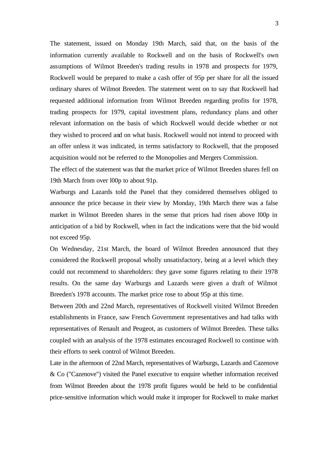The statement, issued on Monday 19th March, said that, on the basis of the information currently available to Rockwell and on the basis of Rockwell's own assumptions of Wilmot Breeden's trading results in 1978 and prospects for 1979, Rockwell would be prepared to make a cash offer of 95p per share for all the issued ordinary shares of Wilmot Breeden. The statement went on to say that Rockwell had requested additional information from Wilmot Breeden regarding profits for 1978, trading prospects for 1979, capital investment plans, redundancy plans and other relevant information on the basis of which Rockwell would decide whether or not they wished to proceed and on what basis. Rockwell would not intend to proceed with an offer unless it was indicated, in terms satisfactory to Rockwell, that the proposed acquisition would not be referred to the Monopolies and Mergers Commission.

The effect of the statement was that the market price of Wilmot Breeden shares fell on 19th March from over l00p to about 91p.

Warburgs and Lazards told the Panel that they considered themselves obliged to announce the price because in their view by Monday, 19th March there was a false market in Wilmot Breeden shares in the sense that prices had risen above l00p in anticipation of a bid by Rockwell, when in fact the indications were that the bid would not exceed 95p.

On Wednesday, 21st March, the board of Wilmot Breeden announced that they considered the Rockwell proposal wholly unsatisfactory, being at a level which they could not recommend to shareholders: they gave some figures relating to their 1978 results. On the same day Warburgs and Lazards were given a draft of Wilmot Breeden's 1978 accounts. The market price rose to about 95p at this time.

Between 20th and 22nd March, representatives of Rockwell visited Wilmot Breeden establishments in France, saw French Government representatives and had talks with representatives of Renault and Peugeot, as customers of Wilmot Breeden. These talks coupled with an analysis of the 1978 estimates encouraged Rockwell to continue with their efforts to seek control of Wilmot Breeden.

Late in the afternoon of 22nd March, representatives of Warburgs, Lazards and Cazenove & Co ("Cazenove") visited the Panel executive to enquire whether information received from Wilmot Breeden about the 1978 profit figures would be held to be confidential price-sensitive information which would make it improper for Rockwell to make market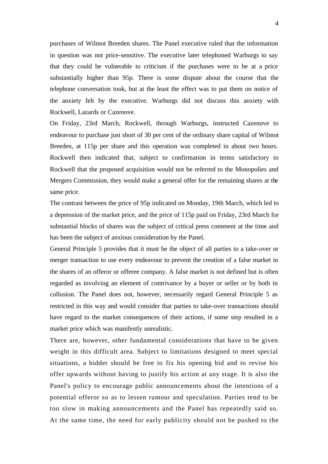purchases of Wilmot Breeden shares. The Panel executive ruled that the information in question was not price-sensitive. The executive later telephoned Warburgs to say that they could be vulnerable to criticism if the purchases were to be at a price substantially higher than 95p. There is some dispute about the course that the telephone conversation took, but at the least the effect was to put them on notice of the anxiety felt by the executive. Warburgs did not discuss this anxiety with Rockwell, Lazards or Cazenove.

On Friday, 23rd March, Rockwell, through Warburgs, instructed Cazenove to endeavour to purchase just short of 30 per cent of the ordinary share capital of Wilmot Breeden, at 115p per share and this operation was completed in about two hours. Rockwell then indicated that, subject to confirmation in terms satisfactory to Rockwell that the proposed acquisition would not be referred to the Monopolies and Mergers Commission, they would make a general offer for the remaining shares at the same price.

The contrast between the price of 95p indicated on Monday, 19th March, which led to a depression of the market price, and the price of 115p paid on Friday, 23rd March for substantial blocks of shares was the subject of critical press comment at the time and has been the subject of anxious consideration by the Panel.

General Principle 5 provides that it must be the object of all parties to a take-over or merger transaction to use every endeavour to prevent the creation of a false market in the shares of an offeror or offeree company. A false market is not defined but is often regarded as involving an element of contrivance by a buyer or seller or by both in collusion. The Panel does not, however, necessarily regard General Principle 5 as restricted in this way and would consider that parties to take-over transactions should have regard to the market consequences of their actions, if some step resulted in a market price which was manifestly unrealistic.

There are, however, other fundamental considerations that have to be given weight in this difficult area. Subject to limitations designed to meet special situations, a bidder should be free to fix his opening bid and to revise his offer upwards without having to justify his action at any stage. It is also the Panel's policy to encourage public announcements about the intentions of a potential offeror so as to lessen rumour and speculation. Parties tend to be too slow in making announcements and the Panel has repeatedly said so. At the same time, the need for early publicity should not be pushed to the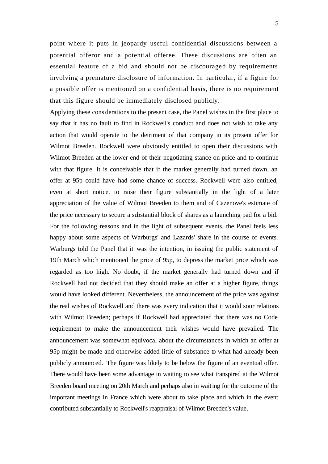point where it puts in jeopardy useful confidential discussions between a potential offeror and a potential offeree. These discussions are often an essential feature of a bid and should not be discouraged by requirements involving a premature disclosure of information. In particular, if a figure for a possible offer is mentioned on a confidential basis, there is no requirement that this figure should be immediately disclosed publicly.

Applying these considerations to the present case, the Panel wishes in the first place to say that it has no fault to find in Rockwell's conduct and does not wish to take any action that would operate to the detriment of that company in its present offer for Wilmot Breeden. Rockwell were obviously entitled to open their discussions with Wilmot Breeden at the lower end of their negotiating stance on price and to continue with that figure. It is conceivable that if the market generally had turned down, an offer at 95p could have had some chance of success. Rockwell were also entitled, even at short notice, to raise their figure substantially in the light of a later appreciation of the value of Wilmot Breeden to them and of Cazenove's estimate of the price necessary to secure a substantial block of shares as a launching pad for a bid. For the following reasons and in the light of subsequent events, the Panel feels less happy about some aspects of Warburgs' and Lazards' share in the course of events. Warburgs told the Panel that it was the intention, in issuing the public statement of 19th March which mentioned the price of 95p, to depress the market price which was regarded as too high. No doubt, if the market generally had turned down and if Rockwell had not decided that they should make an offer at a higher figure, things would have looked different. Nevertheless, the announcement of the price was against the real wishes of Rockwell and there was every indication that it would sour relations with Wilmot Breeden; perhaps if Rockwell had appreciated that there was no Code requirement to make the announcement their wishes would have prevailed. The announcement was somewhat equivocal about the circumstances in which an offer at 95p might be made and otherwise added little of substance to what had already been publicly announced. The figure was likely to be below the figure of an eventual offer. There would have been some advantage in waiting to see what transpired at the Wilmot Breeden board meeting on 20th March and perhaps also in waiting for the outcome of the important meetings in France which were about to take place and which in the event contributed substantially to Rockwell's reappraisal of Wilmot Breeden's value.